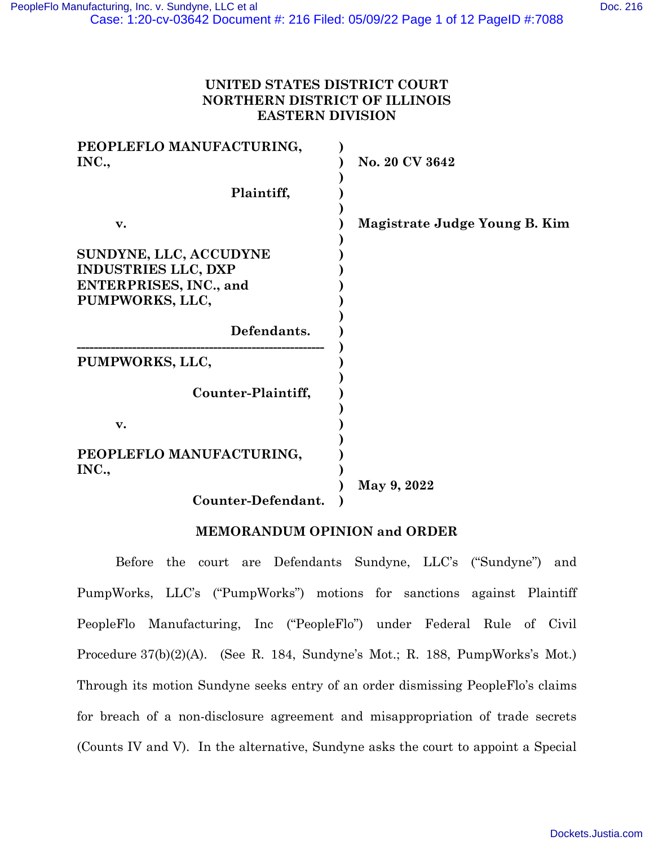# **UNITED STATES DISTRICT COURT NORTHERN DISTRICT OF ILLINOIS EASTERN DIVISION**

| PEOPLEFLO MANUFACTURING,<br>INC.,                                                                        | No. 20 CV 3642                |
|----------------------------------------------------------------------------------------------------------|-------------------------------|
| Plaintiff,                                                                                               |                               |
| v.                                                                                                       | Magistrate Judge Young B. Kim |
| SUNDYNE, LLC, ACCUDYNE<br><b>INDUSTRIES LLC, DXP</b><br><b>ENTERPRISES, INC., and</b><br>PUMPWORKS, LLC, |                               |
| Defendants.                                                                                              |                               |
| PUMPWORKS, LLC,                                                                                          |                               |
| Counter-Plaintiff,                                                                                       |                               |
| v.                                                                                                       |                               |
| PEOPLEFLO MANUFACTURING,<br>INC.,                                                                        |                               |
| Counter-Defendant.                                                                                       | May 9, 2022                   |

# **MEMORANDUM OPINION and ORDER**

Before the court are Defendants Sundyne, LLC's ("Sundyne") and PumpWorks, LLC's ("PumpWorks") motions for sanctions against Plaintiff PeopleFlo Manufacturing, Inc ("PeopleFlo") under Federal Rule of Civil Procedure 37(b)(2)(A). (See R. 184, Sundyne's Mot.; R. 188, PumpWorks's Mot.) Through its motion Sundyne seeks entry of an order dismissing PeopleFlo's claims for breach of a non-disclosure agreement and misappropriation of trade secrets (Counts IV and V). In the alternative, Sundyne asks the court to appoint a Special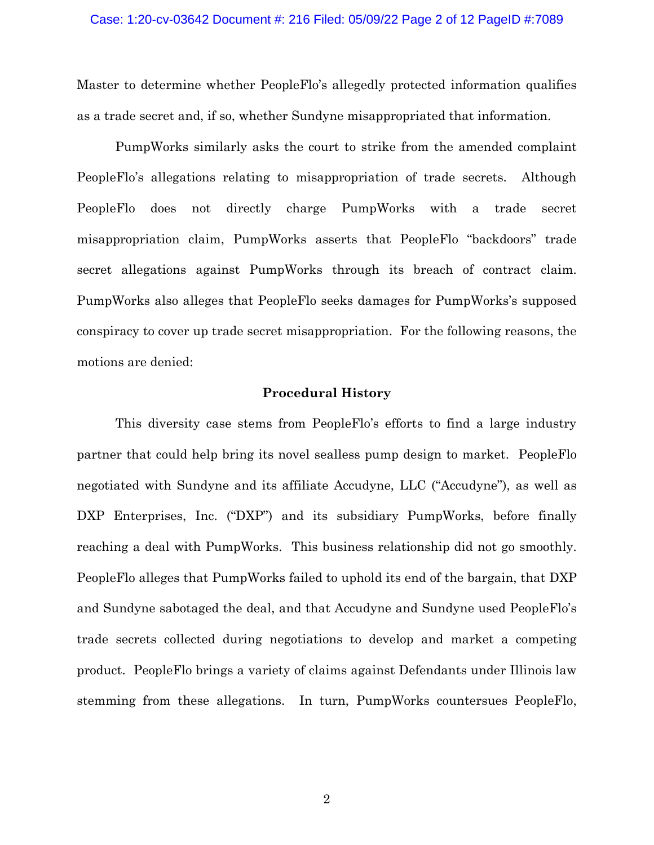Master to determine whether PeopleFlo's allegedly protected information qualifies as a trade secret and, if so, whether Sundyne misappropriated that information.

PumpWorks similarly asks the court to strike from the amended complaint PeopleFlo's allegations relating to misappropriation of trade secrets. Although PeopleFlo does not directly charge PumpWorks with a trade secret misappropriation claim, PumpWorks asserts that PeopleFlo "backdoors" trade secret allegations against PumpWorks through its breach of contract claim. PumpWorks also alleges that PeopleFlo seeks damages for PumpWorks's supposed conspiracy to cover up trade secret misappropriation. For the following reasons, the motions are denied:

## **Procedural History**

This diversity case stems from PeopleFlo's efforts to find a large industry partner that could help bring its novel sealless pump design to market. PeopleFlo negotiated with Sundyne and its affiliate Accudyne, LLC ("Accudyne"), as well as DXP Enterprises, Inc. ("DXP") and its subsidiary PumpWorks, before finally reaching a deal with PumpWorks. This business relationship did not go smoothly. PeopleFlo alleges that PumpWorks failed to uphold its end of the bargain, that DXP and Sundyne sabotaged the deal, and that Accudyne and Sundyne used PeopleFlo's trade secrets collected during negotiations to develop and market a competing product. PeopleFlo brings a variety of claims against Defendants under Illinois law stemming from these allegations. In turn, PumpWorks countersues PeopleFlo,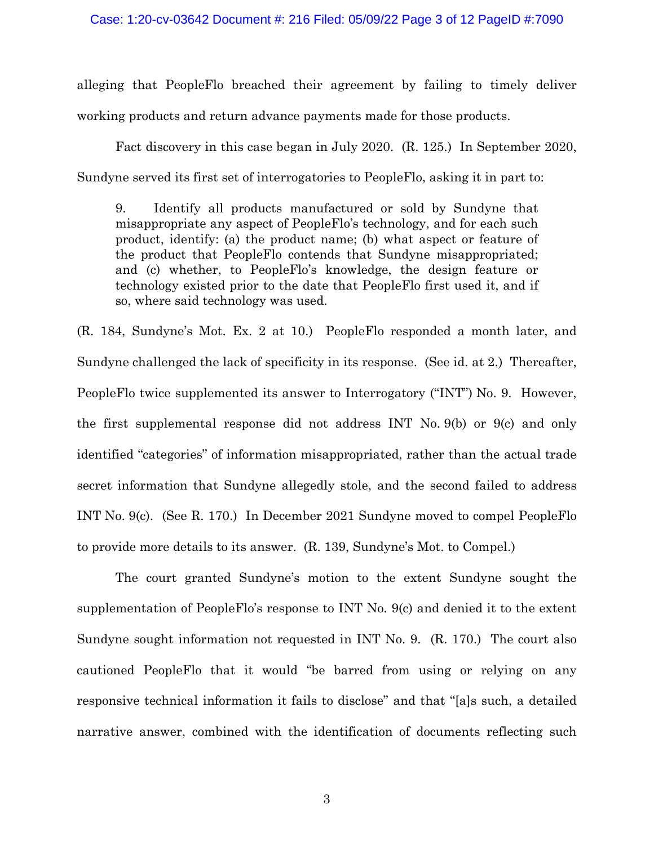### Case: 1:20-cv-03642 Document #: 216 Filed: 05/09/22 Page 3 of 12 PageID #:7090

alleging that PeopleFlo breached their agreement by failing to timely deliver working products and return advance payments made for those products.

Fact discovery in this case began in July 2020. (R. 125.) In September 2020, Sundyne served its first set of interrogatories to PeopleFlo, asking it in part to:

9. Identify all products manufactured or sold by Sundyne that misappropriate any aspect of PeopleFlo's technology, and for each such product, identify: (a) the product name; (b) what aspect or feature of the product that PeopleFlo contends that Sundyne misappropriated; and (c) whether, to PeopleFlo's knowledge, the design feature or technology existed prior to the date that PeopleFlo first used it, and if so, where said technology was used.

(R. 184, Sundyne's Mot. Ex. 2 at 10.) PeopleFlo responded a month later, and Sundyne challenged the lack of specificity in its response. (See id. at 2.) Thereafter, PeopleFlo twice supplemented its answer to Interrogatory ("INT") No. 9. However, the first supplemental response did not address INT No. 9(b) or 9(c) and only identified "categories" of information misappropriated, rather than the actual trade secret information that Sundyne allegedly stole, and the second failed to address INT No. 9(c). (See R. 170.) In December 2021 Sundyne moved to compel PeopleFlo to provide more details to its answer. (R. 139, Sundyne's Mot. to Compel.)

The court granted Sundyne's motion to the extent Sundyne sought the supplementation of PeopleFlo's response to INT No. 9(c) and denied it to the extent Sundyne sought information not requested in INT No. 9. (R. 170.) The court also cautioned PeopleFlo that it would "be barred from using or relying on any responsive technical information it fails to disclose" and that "[a]s such, a detailed narrative answer, combined with the identification of documents reflecting such

3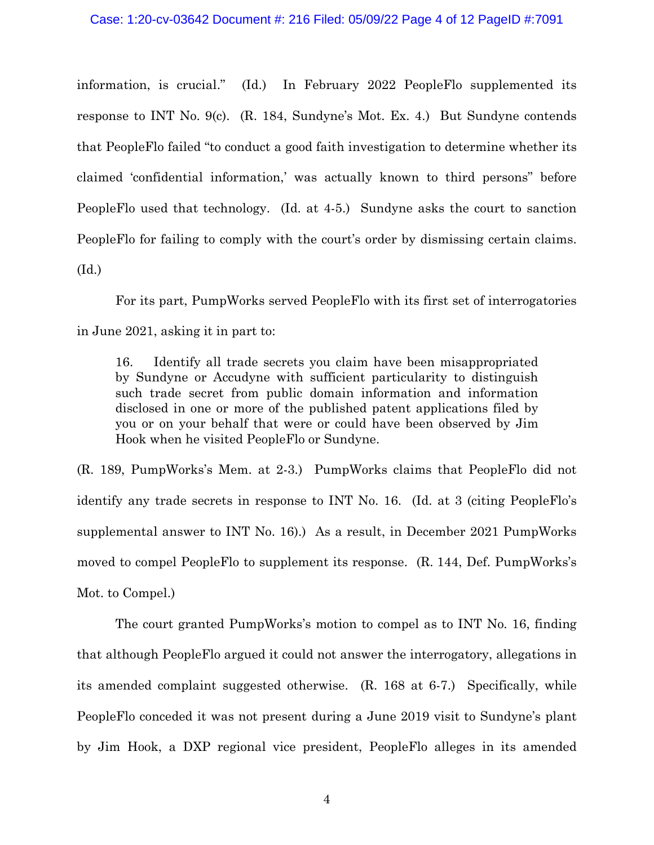#### Case: 1:20-cv-03642 Document #: 216 Filed: 05/09/22 Page 4 of 12 PageID #:7091

information, is crucial." (Id.) In February 2022 PeopleFlo supplemented its response to INT No. 9(c). (R. 184, Sundyne's Mot. Ex. 4.) But Sundyne contends that PeopleFlo failed "to conduct a good faith investigation to determine whether its claimed 'confidential information,' was actually known to third persons" before PeopleFlo used that technology. (Id. at 4-5.) Sundyne asks the court to sanction PeopleFlo for failing to comply with the court's order by dismissing certain claims. (Id.)

For its part, PumpWorks served PeopleFlo with its first set of interrogatories in June 2021, asking it in part to:

16. Identify all trade secrets you claim have been misappropriated by Sundyne or Accudyne with sufficient particularity to distinguish such trade secret from public domain information and information disclosed in one or more of the published patent applications filed by you or on your behalf that were or could have been observed by Jim Hook when he visited PeopleFlo or Sundyne.

(R. 189, PumpWorks's Mem. at 2-3.) PumpWorks claims that PeopleFlo did not identify any trade secrets in response to INT No. 16. (Id. at 3 (citing PeopleFlo's supplemental answer to INT No. 16).) As a result, in December 2021 PumpWorks moved to compel PeopleFlo to supplement its response. (R. 144, Def. PumpWorks's Mot. to Compel.)

The court granted PumpWorks's motion to compel as to INT No. 16, finding that although PeopleFlo argued it could not answer the interrogatory, allegations in its amended complaint suggested otherwise. (R. 168 at 6-7.) Specifically, while PeopleFlo conceded it was not present during a June 2019 visit to Sundyne's plant by Jim Hook, a DXP regional vice president, PeopleFlo alleges in its amended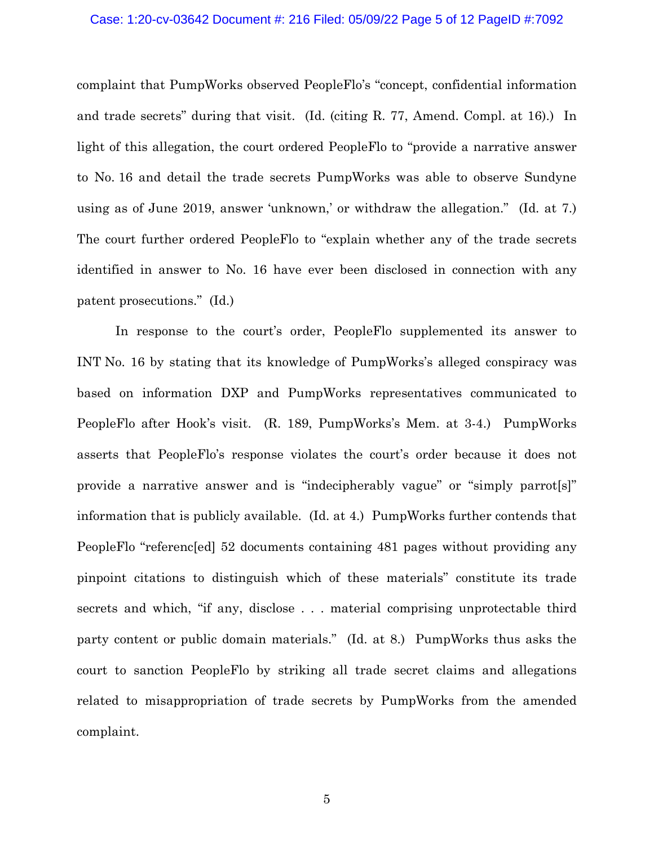# Case: 1:20-cv-03642 Document #: 216 Filed: 05/09/22 Page 5 of 12 PageID #:7092

complaint that PumpWorks observed PeopleFlo's "concept, confidential information and trade secrets" during that visit. (Id. (citing R. 77, Amend. Compl. at 16).) In light of this allegation, the court ordered PeopleFlo to "provide a narrative answer to No. 16 and detail the trade secrets PumpWorks was able to observe Sundyne using as of June 2019, answer 'unknown,' or withdraw the allegation." (Id. at 7.) The court further ordered PeopleFlo to "explain whether any of the trade secrets identified in answer to No. 16 have ever been disclosed in connection with any patent prosecutions." (Id.)

In response to the court's order, PeopleFlo supplemented its answer to INT No. 16 by stating that its knowledge of PumpWorks's alleged conspiracy was based on information DXP and PumpWorks representatives communicated to PeopleFlo after Hook's visit. (R. 189, PumpWorks's Mem. at 3-4.) PumpWorks asserts that PeopleFlo's response violates the court's order because it does not provide a narrative answer and is "indecipherably vague" or "simply parrot[s]" information that is publicly available. (Id. at 4.) PumpWorks further contends that PeopleFlo "referenc[ed] 52 documents containing 481 pages without providing any pinpoint citations to distinguish which of these materials" constitute its trade secrets and which, "if any, disclose . . . material comprising unprotectable third party content or public domain materials." (Id. at 8.) PumpWorks thus asks the court to sanction PeopleFlo by striking all trade secret claims and allegations related to misappropriation of trade secrets by PumpWorks from the amended complaint.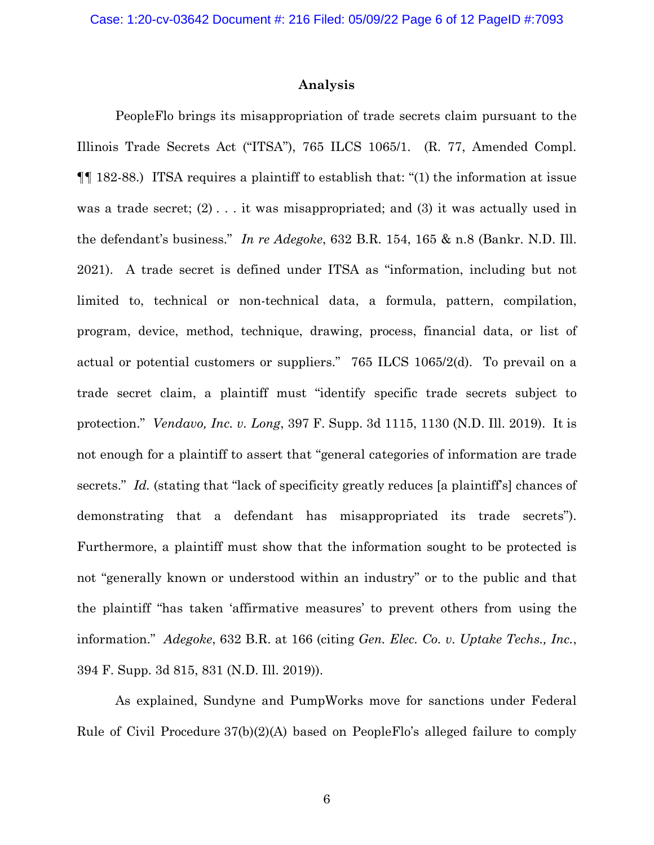## **Analysis**

PeopleFlo brings its misappropriation of trade secrets claim pursuant to the Illinois Trade Secrets Act ("ITSA"), 765 ILCS 1065/1. (R. 77, Amended Compl. ¶¶ 182-88.) ITSA requires a plaintiff to establish that: "(1) the information at issue was a trade secret;  $(2)$ ... it was misappropriated; and  $(3)$  it was actually used in the defendant's business." *In re Adegoke*, 632 B.R. 154, 165 & n.8 (Bankr. N.D. Ill. 2021). A trade secret is defined under ITSA as "information, including but not limited to, technical or non-technical data, a formula, pattern, compilation, program, device, method, technique, drawing, process, financial data, or list of actual or potential customers or suppliers." 765 ILCS 1065/2(d). To prevail on a trade secret claim, a plaintiff must "identify specific trade secrets subject to protection." *Vendavo, Inc. v. Long*, 397 F. Supp. 3d 1115, 1130 (N.D. Ill. 2019). It is not enough for a plaintiff to assert that "general categories of information are trade secrets." *Id.* (stating that "lack of specificity greatly reduces [a plaintiff's] chances of demonstrating that a defendant has misappropriated its trade secrets"). Furthermore, a plaintiff must show that the information sought to be protected is not "generally known or understood within an industry" or to the public and that the plaintiff "has taken 'affirmative measures' to prevent others from using the information." *Adegoke*, 632 B.R. at 166 (citing *Gen. Elec. Co. v. Uptake Techs., Inc.*, 394 F. Supp. 3d 815, 831 (N.D. Ill. 2019)).

As explained, Sundyne and PumpWorks move for sanctions under Federal Rule of Civil Procedure 37(b)(2)(A) based on PeopleFlo's alleged failure to comply

6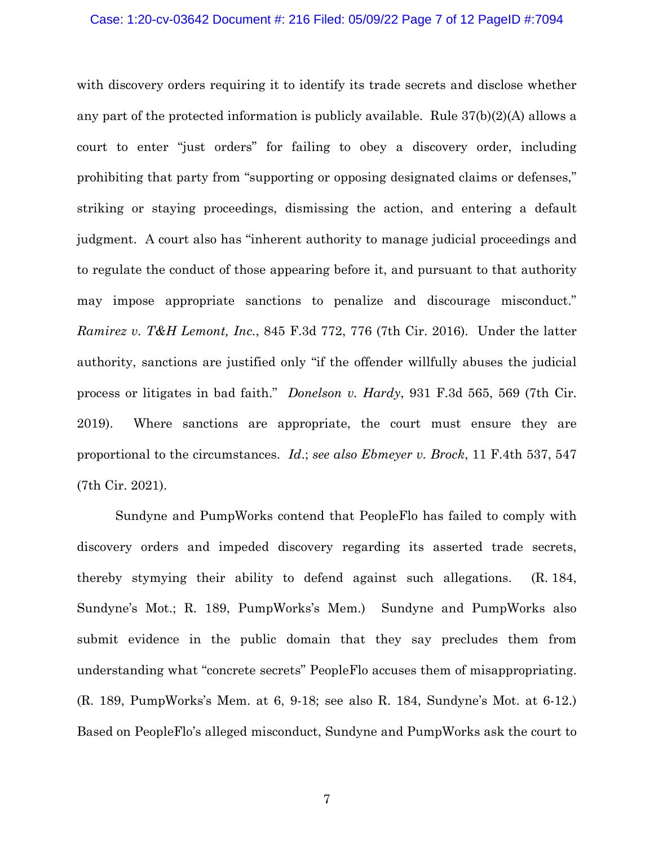## Case: 1:20-cv-03642 Document #: 216 Filed: 05/09/22 Page 7 of 12 PageID #:7094

with discovery orders requiring it to identify its trade secrets and disclose whether any part of the protected information is publicly available. Rule 37(b)(2)(A) allows a court to enter "just orders" for failing to obey a discovery order, including prohibiting that party from "supporting or opposing designated claims or defenses," striking or staying proceedings, dismissing the action, and entering a default judgment. A court also has "inherent authority to manage judicial proceedings and to regulate the conduct of those appearing before it, and pursuant to that authority may impose appropriate sanctions to penalize and discourage misconduct." *Ramirez v. T&H Lemont, Inc.*, 845 F.3d 772, 776 (7th Cir. 2016). Under the latter authority, sanctions are justified only "if the offender willfully abuses the judicial process or litigates in bad faith." *Donelson v. Hardy*[, 931 F.3d 565, 569 \(7th Cir.](https://1.next.westlaw.com/Link/Document/FullText?findType=Y&serNum=2048750819&pubNum=0000506&originatingDoc=I1de7ff500d6a11eb8cd5c20cd8227000&refType=RP&fi=co_pp_sp_506_569&originationContext=document&transitionType=DocumentItem&contextData=(sc.Search)#co_pp_sp_506_569)  [2019\).](https://1.next.westlaw.com/Link/Document/FullText?findType=Y&serNum=2048750819&pubNum=0000506&originatingDoc=I1de7ff500d6a11eb8cd5c20cd8227000&refType=RP&fi=co_pp_sp_506_569&originationContext=document&transitionType=DocumentItem&contextData=(sc.Search)#co_pp_sp_506_569) Where sanctions are appropriate, the court must ensure they are proportional to the circumstances. *[Id](https://1.next.westlaw.com/Link/Document/FullText?findType=Y&serNum=2048750819&pubNum=0000506&originatingDoc=I1de7ff500d6a11eb8cd5c20cd8227000&refType=RP&fi=co_pp_sp_506_569&originationContext=document&transitionType=DocumentItem&contextData=(sc.Search)#co_pp_sp_506_569)*.; *see also Ebmeyer v. Brock*, 11 F.4th 537, 547 (7th Cir. 2021).

Sundyne and PumpWorks contend that PeopleFlo has failed to comply with discovery orders and impeded discovery regarding its asserted trade secrets, thereby stymying their ability to defend against such allegations. (R. 184, Sundyne's Mot.; R. 189, PumpWorks's Mem.) Sundyne and PumpWorks also submit evidence in the public domain that they say precludes them from understanding what "concrete secrets" PeopleFlo accuses them of misappropriating. (R. 189, PumpWorks's Mem. at 6, 9-18; see also R. 184, Sundyne's Mot. at 6-12.) Based on PeopleFlo's alleged misconduct, Sundyne and PumpWorks ask the court to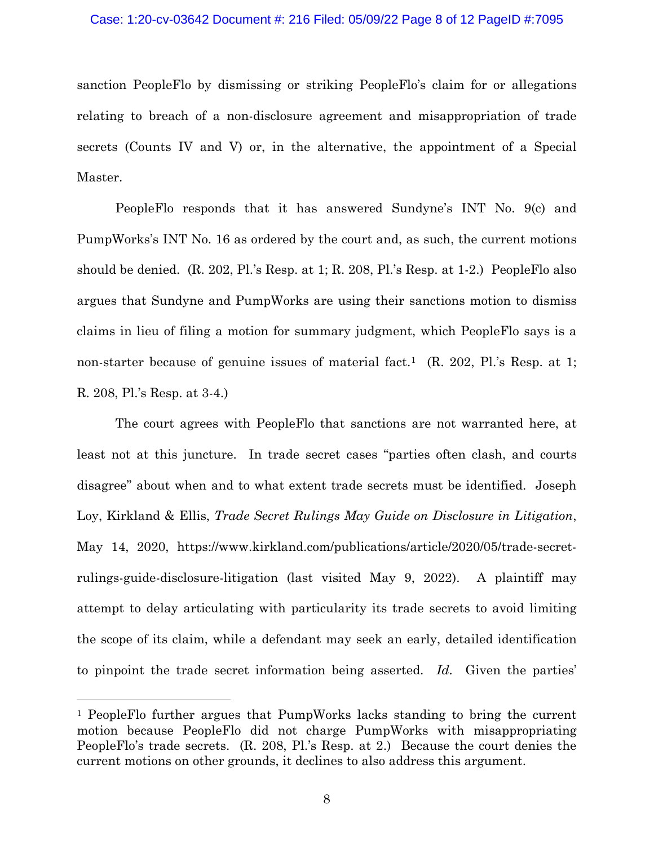#### Case: 1:20-cv-03642 Document #: 216 Filed: 05/09/22 Page 8 of 12 PageID #:7095

sanction PeopleFlo by dismissing or striking PeopleFlo's claim for or allegations relating to breach of a non-disclosure agreement and misappropriation of trade secrets (Counts IV and V) or, in the alternative, the appointment of a Special Master.

PeopleFlo responds that it has answered Sundyne's INT No. 9(c) and PumpWorks's INT No. 16 as ordered by the court and, as such, the current motions should be denied. (R. 202, Pl.'s Resp. at 1; R. 208, Pl.'s Resp. at 1-2.) PeopleFlo also argues that Sundyne and PumpWorks are using their sanctions motion to dismiss claims in lieu of filing a motion for summary judgment, which PeopleFlo says is a non-starter because of genuine issues of material fact.<sup>[1](#page-7-0)</sup> (R. 202, Pl.'s Resp. at 1; R. 208, Pl.'s Resp. at 3-4.)

The court agrees with PeopleFlo that sanctions are not warranted here, at least not at this juncture. In trade secret cases "parties often clash, and courts disagree" about when and to what extent trade secrets must be identified. Joseph Loy, Kirkland & Ellis, *Trade Secret Rulings May Guide on Disclosure in Litigation*, May 14, 2020, https://www.kirkland.com/publications/article/2020/05/trade-secretrulings-guide-disclosure-litigation (last visited May 9, 2022). A plaintiff may attempt to delay articulating with particularity its trade secrets to avoid limiting the scope of its claim, while a defendant may seek an early, detailed identification to pinpoint the trade secret information being asserted. *Id.* Given the parties'

<span id="page-7-0"></span><sup>1</sup> PeopleFlo further argues that PumpWorks lacks standing to bring the current motion because PeopleFlo did not charge PumpWorks with misappropriating PeopleFlo's trade secrets. (R. 208, Pl.'s Resp. at 2.) Because the court denies the current motions on other grounds, it declines to also address this argument.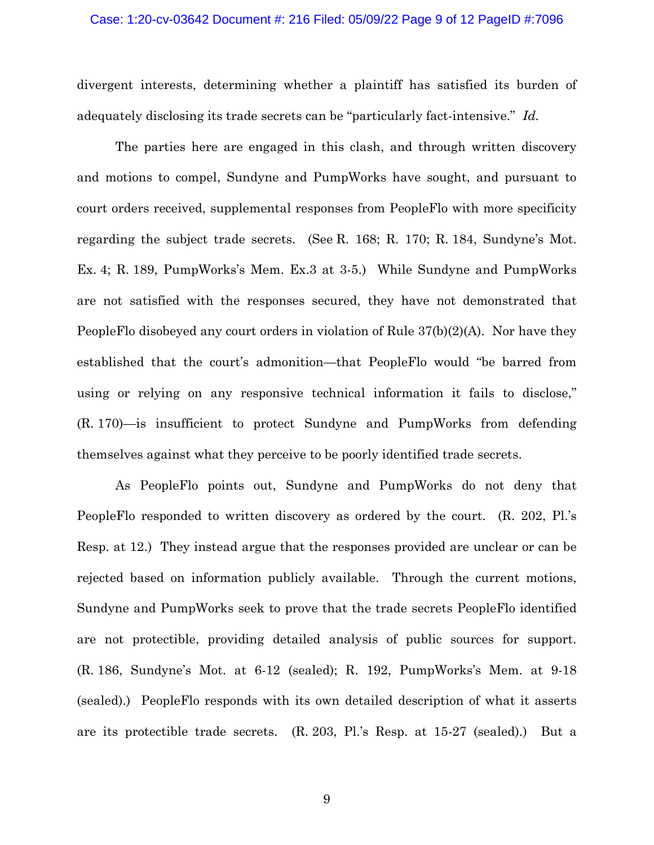#### Case: 1:20-cv-03642 Document #: 216 Filed: 05/09/22 Page 9 of 12 PageID #:7096

divergent interests, determining whether a plaintiff has satisfied its burden of adequately disclosing its trade secrets can be "particularly fact-intensive." *Id.*

The parties here are engaged in this clash, and through written discovery and motions to compel, Sundyne and PumpWorks have sought, and pursuant to court orders received, supplemental responses from PeopleFlo with more specificity regarding the subject trade secrets. (See R. 168; R. 170; R. 184, Sundyne's Mot. Ex. 4; R. 189, PumpWorks's Mem. Ex.3 at 3-5.) While Sundyne and PumpWorks are not satisfied with the responses secured, they have not demonstrated that PeopleFlo disobeyed any court orders in violation of Rule 37(b)(2)(A). Nor have they established that the court's admonition—that PeopleFlo would "be barred from using or relying on any responsive technical information it fails to disclose," (R. 170)—is insufficient to protect Sundyne and PumpWorks from defending themselves against what they perceive to be poorly identified trade secrets.

As PeopleFlo points out, Sundyne and PumpWorks do not deny that PeopleFlo responded to written discovery as ordered by the court. (R. 202, Pl.'s Resp. at 12.) They instead argue that the responses provided are unclear or can be rejected based on information publicly available. Through the current motions, Sundyne and PumpWorks seek to prove that the trade secrets PeopleFlo identified are not protectible, providing detailed analysis of public sources for support. (R. 186, Sundyne's Mot. at 6-12 (sealed); R. 192, PumpWorks's Mem. at 9-18 (sealed).) PeopleFlo responds with its own detailed description of what it asserts are its protectible trade secrets. (R. 203, Pl.'s Resp. at 15-27 (sealed).) But a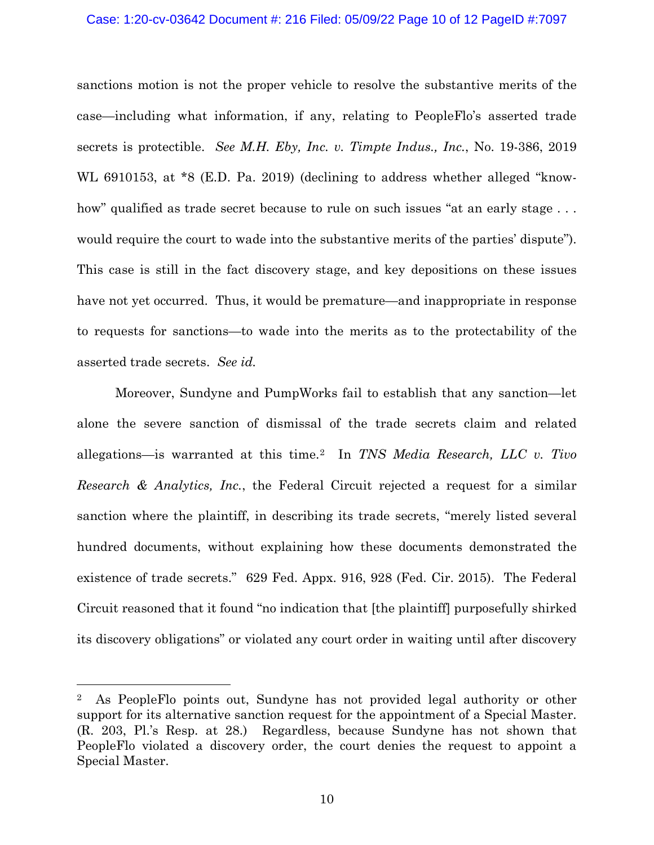### Case: 1:20-cv-03642 Document #: 216 Filed: 05/09/22 Page 10 of 12 PageID #:7097

sanctions motion is not the proper vehicle to resolve the substantive merits of the case—including what information, if any, relating to PeopleFlo's asserted trade secrets is protectible. *See M.H. Eby, Inc. v. Timpte Indus., Inc.*, No. 19-386, 2019 WL 6910153, at \*8 (E.D. Pa. 2019) (declining to address whether alleged "knowhow" qualified as trade secret because to rule on such issues "at an early stage ... would require the court to wade into the substantive merits of the parties' dispute"). This case is still in the fact discovery stage, and key depositions on these issues have not yet occurred. Thus, it would be premature—and inappropriate in response to requests for sanctions—to wade into the merits as to the protectability of the asserted trade secrets. *See id.*

Moreover, Sundyne and PumpWorks fail to establish that any sanction—let alone the severe sanction of dismissal of the trade secrets claim and related allegations—is warranted at this time. [2](#page-9-0) In *TNS Media Research, LLC v. Tivo Research & Analytics, Inc.*, the Federal Circuit rejected a request for a similar sanction where the plaintiff, in describing its trade secrets, "merely listed several hundred documents, without explaining how these documents demonstrated the existence of trade secrets." 629 Fed. Appx. 916, 928 (Fed. Cir. 2015). The Federal Circuit reasoned that it found "no indication that [the plaintiff] purposefully shirked its discovery obligations" or violated any court order in waiting until after discovery

<span id="page-9-0"></span><sup>2</sup> As PeopleFlo points out, Sundyne has not provided legal authority or other support for its alternative sanction request for the appointment of a Special Master. (R. 203, Pl.'s Resp. at 28.) Regardless, because Sundyne has not shown that PeopleFlo violated a discovery order, the court denies the request to appoint a Special Master.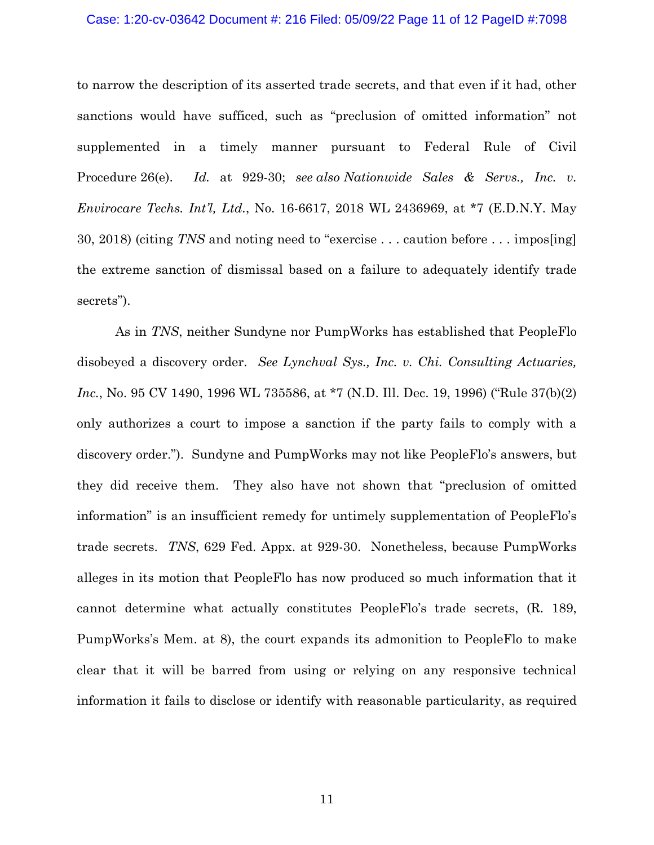# Case: 1:20-cv-03642 Document #: 216 Filed: 05/09/22 Page 11 of 12 PageID #:7098

to narrow the description of its asserted trade secrets, and that even if it had, other sanctions would have sufficed, such as "preclusion of omitted information" not supplemented in a timely manner pursuant to Federal Rule of Civil Procedure 26(e). *Id.* at 929-30; *see also Nationwide Sales & Servs., Inc. v. Envirocare Techs. Int'l, Ltd.*, No. 16-6617, 2018 WL 2436969, at \*7 (E.D.N.Y. May 30, 2018) (citing *TNS* and noting need to "exercise . . . caution before . . . impos[ing] the extreme sanction of dismissal based on a failure to adequately identify trade secrets").

As in *TNS*, neither Sundyne nor PumpWorks has established that PeopleFlo disobeyed a discovery order. *See Lynchval Sys., Inc. v. Chi. Consulting Actuaries, Inc.*, No. 95 CV 1490, 1996 WL 735586, at \*7 (N.D. Ill. Dec. 19, 1996) ("Rule 37(b)(2) only authorizes a court to impose a sanction if the party fails to comply with a discovery order."). Sundyne and PumpWorks may not like PeopleFlo's answers, but they did receive them. They also have not shown that "preclusion of omitted information" is an insufficient remedy for untimely supplementation of PeopleFlo's trade secrets. *TNS*, 629 Fed. Appx. at 929-30. Nonetheless, because PumpWorks alleges in its motion that PeopleFlo has now produced so much information that it cannot determine what actually constitutes PeopleFlo's trade secrets, (R. 189, PumpWorks's Mem. at 8), the court expands its admonition to PeopleFlo to make clear that it will be barred from using or relying on any responsive technical information it fails to disclose or identify with reasonable particularity, as required